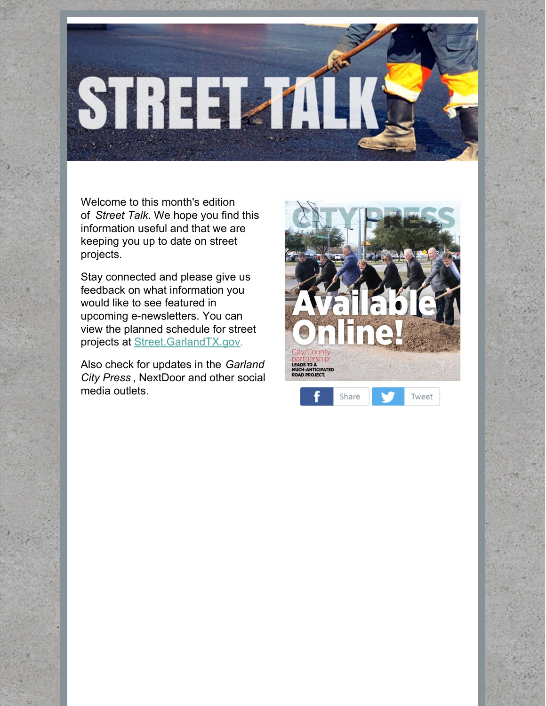

Welcome to this month's edition of *Street Talk*. We hope you find this information useful and that we are keeping you up to date on street projects.

Stay connected and please give us feedback on what information you would like to see featured in upcoming e-newsletters. You can view the planned schedule for street projects at [Street.GarlandTX.gov](http://r20.rs6.net/tn.jsp?f=001hyG-R7fV2TuXyrF7wGpsmWOR7QaCn9O83oMrSVV-YAJyrliQUsLoQ6xljsxR0Nw6CiVO2-QoDjspqxGIVnpAaXmZM6EZBcgOEdV7PZLXT-uvqkhRPY6XBswDt7EvVZWgVaZ1y1_mbUFNVgaEOlv-qAOkSvj3BoDKJ0Ue_6oK3t66mzYHZrqfPUFtrx452fMRGZJmz5qvtuA=&c=x8Zv2d92hjjh4A6_5GVZjwJ1M8ui6ojpNBPykAMH7z3cpAJp9fYQqg==&ch=RQLsEyTGAyr55J9cAttqsB4B1Ye3jJmjWlKkIAAvML0WGKWmqz_FPA==).

Also check for updates in the *Garland City Press* , NextDoor and other social media outlets.

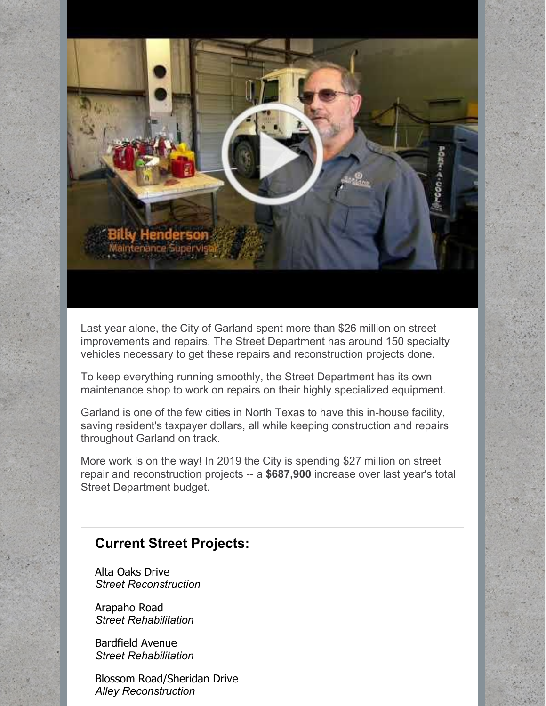

Last year alone, the City of Garland spent more than \$26 million on street improvements and repairs. The Street Department has around 150 specialty vehicles necessary to get these repairs and reconstruction projects done.

To keep everything running smoothly, the Street Department has its own maintenance shop to work on repairs on their highly specialized equipment.

Garland is one of the few cities in North Texas to have this in-house facility, saving resident's taxpayer dollars, all while keeping construction and repairs throughout Garland on track.

More work is on the way! In 2019 the City is spending \$27 million on street repair and reconstruction projects -- a **\$687,900** increase over last year's total Street Department budget.

## **Current Street Projects:**

Alta Oaks Drive *Street Reconstruction*

Arapaho Road *Street Rehabilitation*

Bardfield Avenue *Street Rehabilitation*

Blossom Road/Sheridan Drive *Alley Reconstruction*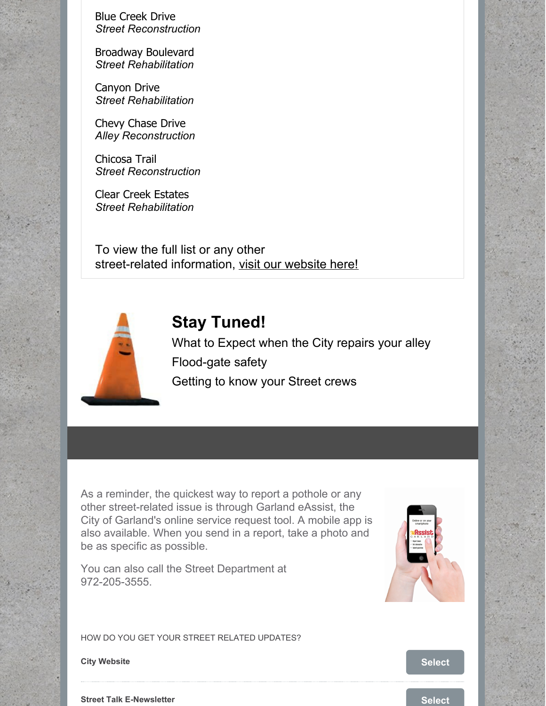Blue Creek Drive *Street Reconstruction*

Broadway Boulevard *Street Rehabilitation*

Canyon Drive *Street Rehabilitation*

Chevy Chase Drive *Alley Reconstruction*

Chicosa Trail *Street Reconstruction*

Clear Creek Estates *Street Rehabilitation*

To view the full list or any other street-related information, visit our [website](http://www.ci.garland.tx.us/gov/rz/streets/current_projects.asp) here!



## **Stay Tuned!**

What to Expect when the City repairs your alley Flood-gate safety Getting to know your Street crews

As a reminder, the quickest way to report a pothole or any other street-related issue is through Garland eAssist, the City of Garland's online service request tool. A mobile app is also available. When you send in a report, take a photo and be as specific as possible.

You can also call the Street Department at 972-205-3555.



HOW DO YOU GET YOUR STREET RELATED UPDATES?

**City** Website **[Select](https://campaignlp.constantcontact.com/forms/response?id=mpEmE0ZKkyHhzVwUdt6qZfa7qkxWMo24btzavHUg-ILu6m9kCqJLg4k_562C4N2DNzP-B2WWOnbxuYe26np7EjMvVoEdQQDdmmeCM_ESO30MrAwW6udNYG1tYX3LRZ1yxvph9WpeunGEEgYk2yX8gn16Chh0Ut-NbXGceHK5EOe8OnaoGOmBuK2r7qJli4vJuzWk_BooTyXFYMefTsr-aw&encVer=1&c=&ch=)** 

**Street Talk E-Newsletter [Select](https://campaignlp.constantcontact.com/forms/response?id=mpEmE0ZKkyHhzVwUdt6qZfa7qkxWMo24btzavHUg-ILu6m9kCqJLg4k_562C4N2DNzP-B2WWOnbxuYe26np7EjMvVoEdQQDdmmeCM_ESO30MrAwW6udNYG1tYX3LRZ1yxvph9WpeunGEEgYk2yX8gn16Chh0Ut-NbXGceHK5EOe8OnaoGOmBuK2r7qJli4vJuzWk_BooTyXXN6S9LkQxSg&encVer=1&c=&ch=) Selection Selection Selection Selection Selection Selection Selection Selection Selection Selection Selection Selection Selection Selection Selection Selec**